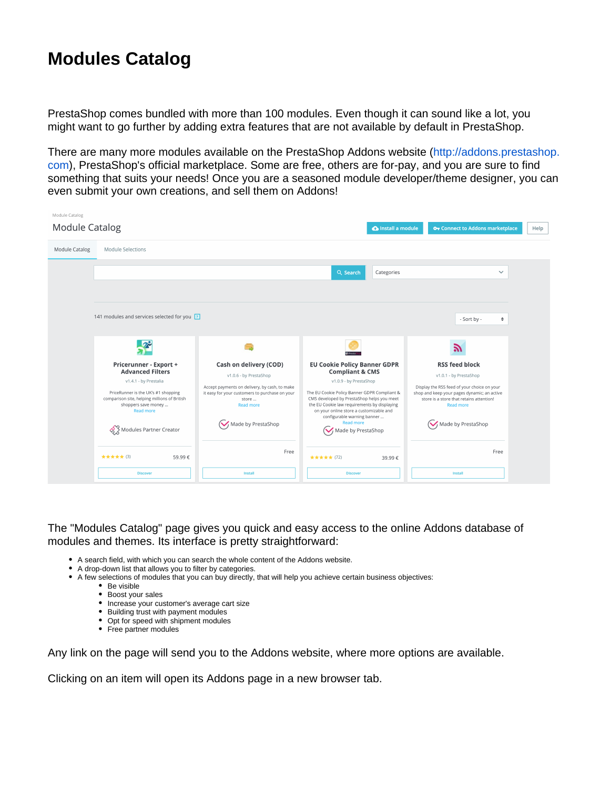## **Modules Catalog**

PrestaShop comes bundled with more than 100 modules. Even though it can sound like a lot, you might want to go further by adding extra features that are not available by default in PrestaShop.

There are many more modules available on the PrestaShop Addons website [\(http://addons.prestashop.](http://addons.prestashop.com/) [com](http://addons.prestashop.com/)), PrestaShop's official marketplace. Some are free, others are for-pay, and you are sure to find something that suits your needs! Once you are a seasoned module developer/theme designer, you can even submit your own creations, and sell them on Addons!



The "Modules Catalog" page gives you quick and easy access to the online Addons database of modules and themes. Its interface is pretty straightforward:

- A search field, with which you can search the whole content of the Addons website.
- A drop-down list that allows you to filter by categories.
- A few selections of modules that you can buy directly, that will help you achieve certain business objectives:
	- Be visible
		- Boost your sales
		- Increase your customer's average cart size
		- Building trust with payment modules
		- Opt for speed with shipment modules
		- Free partner modules

Any link on the page will send you to the Addons website, where more options are available.

Clicking on an item will open its Addons page in a new browser tab.